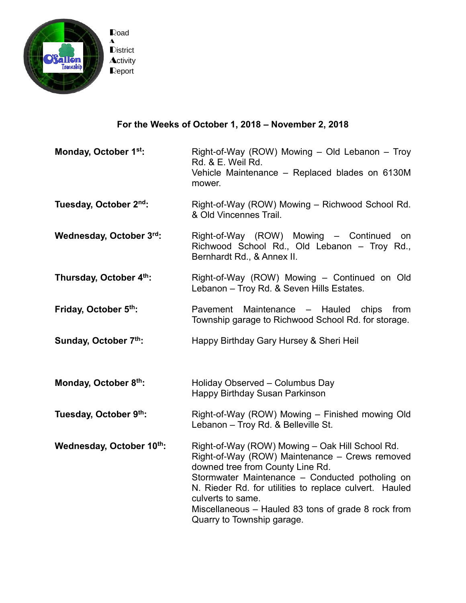

## **For the Weeks of October 1, 2018 – November 2, 2018**

**Monday, October 1 st:** Right-of-Way (ROW) Mowing – Old Lebanon – Troy Rd. & E. Weil Rd. Vehicle Maintenance – Replaced blades on 6130M mower.

- **Tuesday, October 2** Right-of-Way (ROW) Mowing – Richwood School Rd. & Old Vincennes Trail.
- **Wednesday, October 3** Right-of-Way (ROW) Mowing – Continued on Richwood School Rd., Old Lebanon – Troy Rd., Bernhardt Rd., & Annex II.
- **Thursday, October 4 th:** Right-of-Way (ROW) Mowing – Continued on Old Lebanon – Troy Rd. & Seven Hills Estates.
- **Friday, October 5 th:** Pavement Maintenance – Hauled chips from Township garage to Richwood School Rd. for storage.
- **Sunday, October 7 th:** Happy Birthday Gary Hursey & Sheri Heil
- **Monday, October 8 th:** Holiday Observed – Columbus Day Happy Birthday Susan Parkinson
- **Tuesday, October 9 th:** Right-of-Way (ROW) Mowing – Finished mowing Old Lebanon – Troy Rd. & Belleville St.

**Wednesday, October 10 th:** Right-of-Way (ROW) Mowing – Oak Hill School Rd. Right-of-Way (ROW) Maintenance – Crews removed downed tree from County Line Rd. Stormwater Maintenance – Conducted potholing on N. Rieder Rd. for utilities to replace culvert. Hauled culverts to same. Miscellaneous – Hauled 83 tons of grade 8 rock from Quarry to Township garage.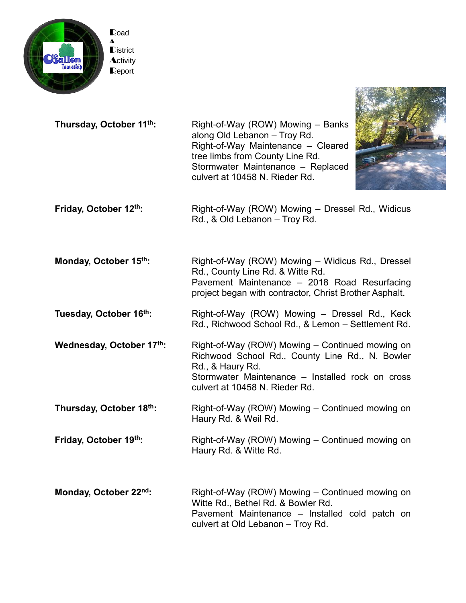

**Thursday, October 11 th:** Right-of-Way (ROW) Mowing – Banks along Old Lebanon – Troy Rd. Right-of-Way Maintenance – Cleared tree limbs from County Line Rd. Stormwater Maintenance – Replaced culvert at 10458 N. Rieder Rd.



**Friday, October 12 th:** Right-of-Way (ROW) Mowing – Dressel Rd., Widicus Rd., & Old Lebanon – Troy Rd.

**Monday, October 15 th:** Right-of-Way (ROW) Mowing – Widicus Rd., Dressel Rd., County Line Rd. & Witte Rd. Pavement Maintenance – 2018 Road Resurfacing project began with contractor, Christ Brother Asphalt.

**Tuesday, October 16 th:** Right-of-Way (ROW) Mowing – Dressel Rd., Keck Rd., Richwood School Rd., & Lemon – Settlement Rd.

**Wednesday, October 17 th:** Right-of-Way (ROW) Mowing – Continued mowing on Richwood School Rd., County Line Rd., N. Bowler Rd., & Haury Rd. Stormwater Maintenance – Installed rock on cross culvert at 10458 N. Rieder Rd.

**Thursday, October 18 th:** Right-of-Way (ROW) Mowing – Continued mowing on Haury Rd. & Weil Rd.

**Friday, October 19<sup>th</sup>:** Right-of-Way (ROW) Mowing – Continued mowing on Haury Rd. & Witte Rd.

**Monday, October 22<sup>nd</sup>:** Right-of-Way (ROW) Mowing – Continued mowing on Witte Rd., Bethel Rd. & Bowler Rd. Pavement Maintenance – Installed cold patch on culvert at Old Lebanon – Troy Rd.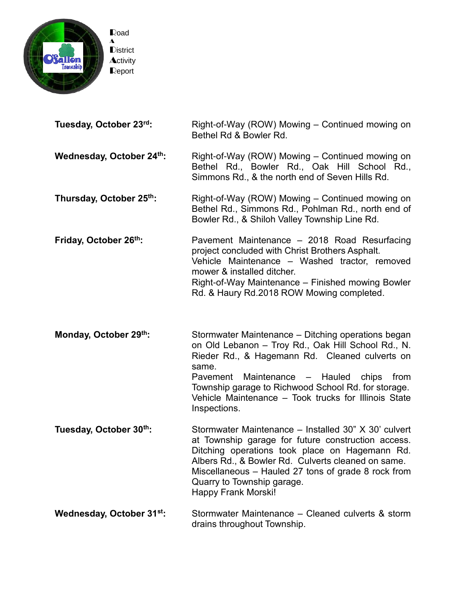

| Tuesday, October 23rd:   | Right-of-Way (ROW) Mowing - Continued mowing on<br>Bethel Rd & Bowler Rd.                                                                                                                                                                                                                                                                         |
|--------------------------|---------------------------------------------------------------------------------------------------------------------------------------------------------------------------------------------------------------------------------------------------------------------------------------------------------------------------------------------------|
| Wednesday, October 24th: | Right-of-Way (ROW) Mowing – Continued mowing on<br>Bethel Rd., Bowler Rd., Oak Hill School Rd.,<br>Simmons Rd., & the north end of Seven Hills Rd.                                                                                                                                                                                                |
| Thursday, October 25th:  | Right-of-Way (ROW) Mowing – Continued mowing on<br>Bethel Rd., Simmons Rd., Pohlman Rd., north end of<br>Bowler Rd., & Shiloh Valley Township Line Rd.                                                                                                                                                                                            |
| Friday, October 26th:    | Pavement Maintenance - 2018 Road Resurfacing<br>project concluded with Christ Brothers Asphalt.<br>Vehicle Maintenance - Washed tractor, removed<br>mower & installed ditcher.<br>Right-of-Way Maintenance – Finished mowing Bowler<br>Rd. & Haury Rd.2018 ROW Mowing completed.                                                                  |
| Monday, October 29th:    | Stormwater Maintenance - Ditching operations began<br>on Old Lebanon - Troy Rd., Oak Hill School Rd., N.<br>Rieder Rd., & Hagemann Rd. Cleaned culverts on<br>same.<br>Pavement Maintenance - Hauled chips<br>from<br>Township garage to Richwood School Rd. for storage.<br>Vehicle Maintenance - Took trucks for Illinois State<br>Inspections. |
| Tugsday October 30th.    | Stormwater Maintenance - Installed 30" X 30' culvert                                                                                                                                                                                                                                                                                              |

**esday, October 30<sup>m</sup>:** Stormwater Maintenance – Installed 30" X 30' culvert at Township garage for future construction access. Ditching operations took place on Hagemann Rd. Albers Rd., & Bowler Rd. Culverts cleaned on same. Miscellaneous – Hauled 27 tons of grade 8 rock from Quarry to Township garage. Happy Frank Morski!

**Wednesday, October 31<sup>st</sup>:** Stormwater Maintenance – Cleaned culverts & storm drains throughout Township.